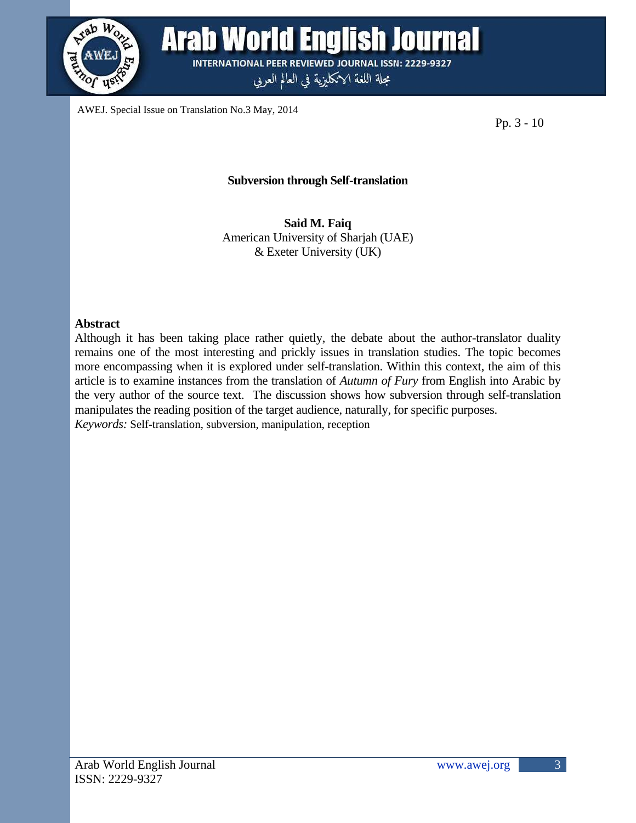

AWEJ. Special Issue on Translation No.3 May, 2014

Pp. 3 - 10

## **Subversion through Self-translation**

**Said M. Faiq** American University of Sharjah (UAE) & Exeter University (UK)

#### **Abstract**

Although it has been taking place rather quietly, the debate about the author-translator duality remains one of the most interesting and prickly issues in translation studies. The topic becomes more encompassing when it is explored under self-translation. Within this context, the aim of this article is to examine instances from the translation of *Autumn of Fury* from English into Arabic by the very author of the source text. The discussion shows how subversion through self-translation manipulates the reading position of the target audience, naturally, for specific purposes. *Keywords:* Self-translation, subversion, manipulation, reception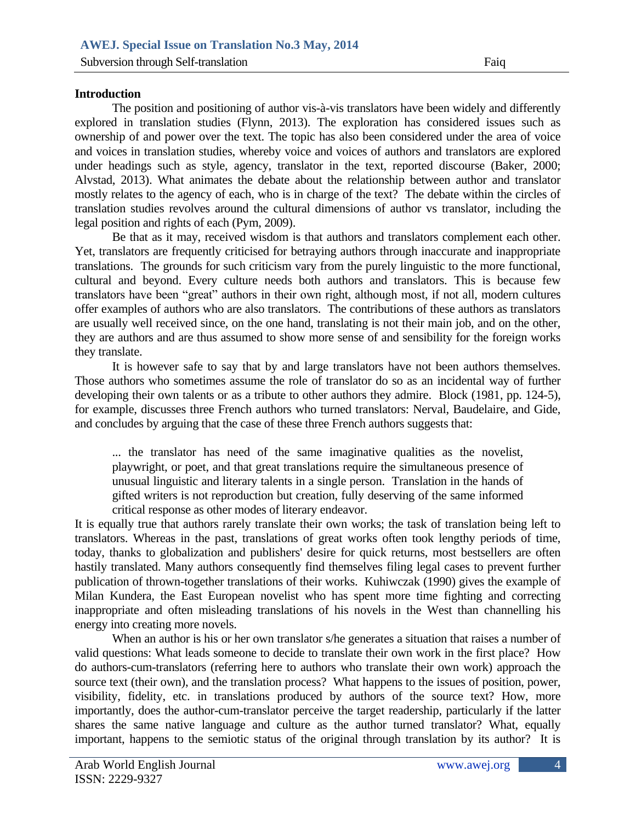## **Introduction**

The position and positioning of author vis-à-vis translators have been widely and differently explored in translation studies (Flynn, 2013). The exploration has considered issues such as ownership of and power over the text. The topic has also been considered under the area of voice and voices in translation studies, whereby voice and voices of authors and translators are explored under headings such as style, agency, translator in the text, reported discourse (Baker, 2000; Alvstad, 2013). What animates the debate about the relationship between author and translator mostly relates to the agency of each, who is in charge of the text? The debate within the circles of translation studies revolves around the cultural dimensions of author vs translator, including the legal position and rights of each (Pym, 2009).

Be that as it may, received wisdom is that authors and translators complement each other. Yet, translators are frequently criticised for betraying authors through inaccurate and inappropriate translations. The grounds for such criticism vary from the purely linguistic to the more functional, cultural and beyond. Every culture needs both authors and translators. This is because few translators have been "great" authors in their own right, although most, if not all, modern cultures offer examples of authors who are also translators. The contributions of these authors as translators are usually well received since, on the one hand, translating is not their main job, and on the other, they are authors and are thus assumed to show more sense of and sensibility for the foreign works they translate.

It is however safe to say that by and large translators have not been authors themselves. Those authors who sometimes assume the role of translator do so as an incidental way of further developing their own talents or as a tribute to other authors they admire. Block (1981, pp. 124-5), for example, discusses three French authors who turned translators: Nerval, Baudelaire, and Gide, and concludes by arguing that the case of these three French authors suggests that:

... the translator has need of the same imaginative qualities as the novelist, playwright, or poet, and that great translations require the simultaneous presence of unusual linguistic and literary talents in a single person. Translation in the hands of gifted writers is not reproduction but creation, fully deserving of the same informed critical response as other modes of literary endeavor.

It is equally true that authors rarely translate their own works; the task of translation being left to translators. Whereas in the past, translations of great works often took lengthy periods of time, today, thanks to globalization and publishers' desire for quick returns, most bestsellers are often hastily translated. Many authors consequently find themselves filing legal cases to prevent further publication of thrown-together translations of their works. Kuhiwczak (1990) gives the example of Milan Kundera, the East European novelist who has spent more time fighting and correcting inappropriate and often misleading translations of his novels in the West than channelling his energy into creating more novels.

When an author is his or her own translator s/he generates a situation that raises a number of valid questions: What leads someone to decide to translate their own work in the first place? How do authors-cum-translators (referring here to authors who translate their own work) approach the source text (their own), and the translation process? What happens to the issues of position, power, visibility, fidelity, etc. in translations produced by authors of the source text? How, more importantly, does the author-cum-translator perceive the target readership, particularly if the latter shares the same native language and culture as the author turned translator? What, equally important, happens to the semiotic status of the original through translation by its author? It is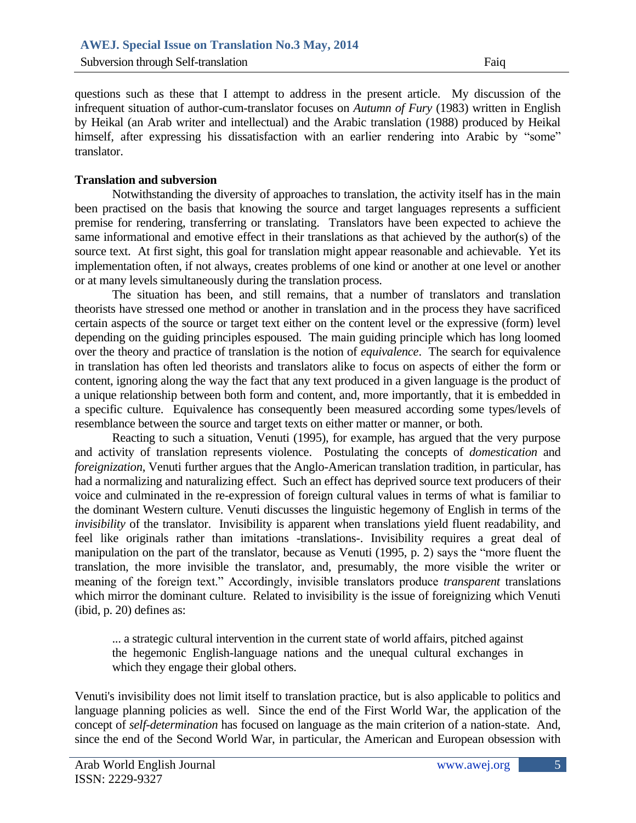questions such as these that I attempt to address in the present article. My discussion of the infrequent situation of author-cum-translator focuses on *Autumn of Fury* (1983) written in English by Heikal (an Arab writer and intellectual) and the Arabic translation (1988) produced by Heikal himself, after expressing his dissatisfaction with an earlier rendering into Arabic by "some" translator.

## **Translation and subversion**

Notwithstanding the diversity of approaches to translation, the activity itself has in the main been practised on the basis that knowing the source and target languages represents a sufficient premise for rendering, transferring or translating. Translators have been expected to achieve the same informational and emotive effect in their translations as that achieved by the author(s) of the source text. At first sight, this goal for translation might appear reasonable and achievable. Yet its implementation often, if not always, creates problems of one kind or another at one level or another or at many levels simultaneously during the translation process.

The situation has been, and still remains, that a number of translators and translation theorists have stressed one method or another in translation and in the process they have sacrificed certain aspects of the source or target text either on the content level or the expressive (form) level depending on the guiding principles espoused. The main guiding principle which has long loomed over the theory and practice of translation is the notion of *equivalence*. The search for equivalence in translation has often led theorists and translators alike to focus on aspects of either the form or content, ignoring along the way the fact that any text produced in a given language is the product of a unique relationship between both form and content, and, more importantly, that it is embedded in a specific culture. Equivalence has consequently been measured according some types/levels of resemblance between the source and target texts on either matter or manner, or both.

Reacting to such a situation, Venuti (1995), for example, has argued that the very purpose and activity of translation represents violence. Postulating the concepts of *domestication* and *foreignization*, Venuti further argues that the Anglo-American translation tradition, in particular, has had a normalizing and naturalizing effect. Such an effect has deprived source text producers of their voice and culminated in the re-expression of foreign cultural values in terms of what is familiar to the dominant Western culture. Venuti discusses the linguistic hegemony of English in terms of the *invisibility* of the translator. Invisibility is apparent when translations yield fluent readability, and feel like originals rather than imitations -translations-. Invisibility requires a great deal of manipulation on the part of the translator, because as Venuti (1995, p. 2) says the "more fluent the translation, the more invisible the translator, and, presumably, the more visible the writer or meaning of the foreign text." Accordingly, invisible translators produce *transparent* translations which mirror the dominant culture. Related to invisibility is the issue of foreignizing which Venuti (ibid, p. 20) defines as:

... a strategic cultural intervention in the current state of world affairs, pitched against the hegemonic English-language nations and the unequal cultural exchanges in which they engage their global others.

Venuti's invisibility does not limit itself to translation practice, but is also applicable to politics and language planning policies as well. Since the end of the First World War, the application of the concept of *self-determination* has focused on language as the main criterion of a nation-state. And, since the end of the Second World War, in particular, the American and European obsession with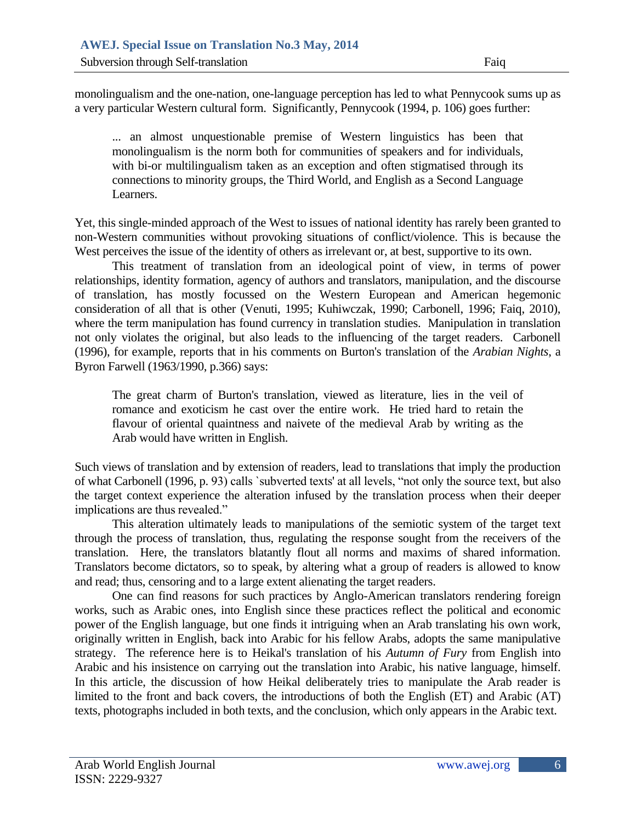monolingualism and the one-nation, one-language perception has led to what Pennycook sums up as a very particular Western cultural form. Significantly, Pennycook (1994, p. 106) goes further:

... an almost unquestionable premise of Western linguistics has been that monolingualism is the norm both for communities of speakers and for individuals, with bi-or multilingualism taken as an exception and often stigmatised through its connections to minority groups, the Third World, and English as a Second Language Learners.

Yet, this single-minded approach of the West to issues of national identity has rarely been granted to non-Western communities without provoking situations of conflict/violence. This is because the West perceives the issue of the identity of others as irrelevant or, at best, supportive to its own.

This treatment of translation from an ideological point of view, in terms of power relationships, identity formation, agency of authors and translators, manipulation, and the discourse of translation, has mostly focussed on the Western European and American hegemonic consideration of all that is other (Venuti, 1995; Kuhiwczak, 1990; Carbonell, 1996; Faiq, 2010), where the term manipulation has found currency in translation studies. Manipulation in translation not only violates the original, but also leads to the influencing of the target readers. Carbonell (1996), for example, reports that in his comments on Burton's translation of the *Arabian Nights*, a Byron Farwell (1963/1990, p.366) says:

The great charm of Burton's translation, viewed as literature, lies in the veil of romance and exoticism he cast over the entire work. He tried hard to retain the flavour of oriental quaintness and naivete of the medieval Arab by writing as the Arab would have written in English.

Such views of translation and by extension of readers, lead to translations that imply the production of what Carbonell (1996, p. 93) calls `subverted texts' at all levels, "not only the source text, but also the target context experience the alteration infused by the translation process when their deeper implications are thus revealed."

This alteration ultimately leads to manipulations of the semiotic system of the target text through the process of translation, thus, regulating the response sought from the receivers of the translation. Here, the translators blatantly flout all norms and maxims of shared information. Translators become dictators, so to speak, by altering what a group of readers is allowed to know and read; thus, censoring and to a large extent alienating the target readers.

One can find reasons for such practices by Anglo-American translators rendering foreign works, such as Arabic ones, into English since these practices reflect the political and economic power of the English language, but one finds it intriguing when an Arab translating his own work, originally written in English, back into Arabic for his fellow Arabs, adopts the same manipulative strategy. The reference here is to Heikal's translation of his *Autumn of Fury* from English into Arabic and his insistence on carrying out the translation into Arabic, his native language, himself. In this article, the discussion of how Heikal deliberately tries to manipulate the Arab reader is limited to the front and back covers, the introductions of both the English (ET) and Arabic (AT) texts, photographs included in both texts, and the conclusion, which only appears in the Arabic text.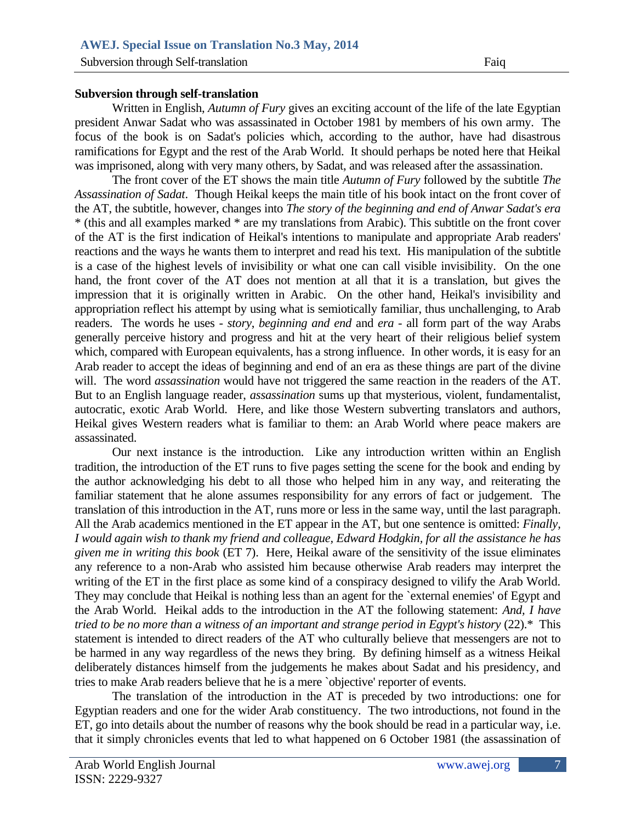# **Subversion through self-translation**

Written in English, *Autumn of Fury* gives an exciting account of the life of the late Egyptian president Anwar Sadat who was assassinated in October 1981 by members of his own army. The focus of the book is on Sadat's policies which, according to the author, have had disastrous ramifications for Egypt and the rest of the Arab World. It should perhaps be noted here that Heikal was imprisoned, along with very many others, by Sadat, and was released after the assassination.

The front cover of the ET shows the main title *Autumn of Fury* followed by the subtitle *The Assassination of Sadat*. Though Heikal keeps the main title of his book intact on the front cover of the AT, the subtitle, however, changes into *The story of the beginning and end of Anwar Sadat's era*  \* (this and all examples marked \* are my translations from Arabic). This subtitle on the front cover of the AT is the first indication of Heikal's intentions to manipulate and appropriate Arab readers' reactions and the ways he wants them to interpret and read his text. His manipulation of the subtitle is a case of the highest levels of invisibility or what one can call visible invisibility. On the one hand, the front cover of the AT does not mention at all that it is a translation, but gives the impression that it is originally written in Arabic. On the other hand, Heikal's invisibility and appropriation reflect his attempt by using what is semiotically familiar, thus unchallenging, to Arab readers. The words he uses - *story*, *beginning and end* and *era* - all form part of the way Arabs generally perceive history and progress and hit at the very heart of their religious belief system which, compared with European equivalents, has a strong influence. In other words, it is easy for an Arab reader to accept the ideas of beginning and end of an era as these things are part of the divine will. The word *assassination* would have not triggered the same reaction in the readers of the AT. But to an English language reader, *assassination* sums up that mysterious, violent, fundamentalist, autocratic, exotic Arab World. Here, and like those Western subverting translators and authors, Heikal gives Western readers what is familiar to them: an Arab World where peace makers are assassinated.

Our next instance is the introduction. Like any introduction written within an English tradition, the introduction of the ET runs to five pages setting the scene for the book and ending by the author acknowledging his debt to all those who helped him in any way, and reiterating the familiar statement that he alone assumes responsibility for any errors of fact or judgement. The translation of this introduction in the AT, runs more or less in the same way, until the last paragraph. All the Arab academics mentioned in the ET appear in the AT, but one sentence is omitted: *Finally, I would again wish to thank my friend and colleague, Edward Hodgkin, for all the assistance he has given me in writing this book* (ET 7). Here, Heikal aware of the sensitivity of the issue eliminates any reference to a non-Arab who assisted him because otherwise Arab readers may interpret the writing of the ET in the first place as some kind of a conspiracy designed to vilify the Arab World. They may conclude that Heikal is nothing less than an agent for the `external enemies' of Egypt and the Arab World. Heikal adds to the introduction in the AT the following statement: *And, I have tried to be no more than a witness of an important and strange period in Egypt's history* (22).\* This statement is intended to direct readers of the AT who culturally believe that messengers are not to be harmed in any way regardless of the news they bring. By defining himself as a witness Heikal deliberately distances himself from the judgements he makes about Sadat and his presidency, and tries to make Arab readers believe that he is a mere `objective' reporter of events.

The translation of the introduction in the AT is preceded by two introductions: one for Egyptian readers and one for the wider Arab constituency. The two introductions, not found in the ET, go into details about the number of reasons why the book should be read in a particular way, i.e. that it simply chronicles events that led to what happened on 6 October 1981 (the assassination of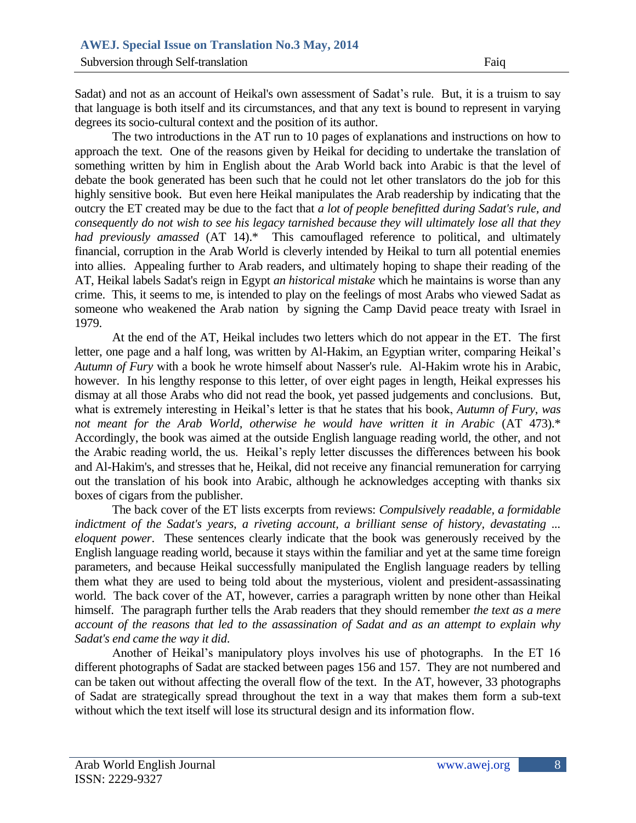Sadat) and not as an account of Heikal's own assessment of Sadat's rule. But, it is a truism to say that language is both itself and its circumstances, and that any text is bound to represent in varying degrees its socio-cultural context and the position of its author.

The two introductions in the AT run to 10 pages of explanations and instructions on how to approach the text. One of the reasons given by Heikal for deciding to undertake the translation of something written by him in English about the Arab World back into Arabic is that the level of debate the book generated has been such that he could not let other translators do the job for this highly sensitive book. But even here Heikal manipulates the Arab readership by indicating that the outcry the ET created may be due to the fact that *a lot of people benefitted during Sadat's rule, and consequently do not wish to see his legacy tarnished because they will ultimately lose all that they had previously amassed* (AT 14).\* This camouflaged reference to political, and ultimately financial, corruption in the Arab World is cleverly intended by Heikal to turn all potential enemies into allies. Appealing further to Arab readers, and ultimately hoping to shape their reading of the AT, Heikal labels Sadat's reign in Egypt *an historical mistake* which he maintains is worse than any crime. This, it seems to me, is intended to play on the feelings of most Arabs who viewed Sadat as someone who weakened the Arab nation by signing the Camp David peace treaty with Israel in 1979.

At the end of the AT, Heikal includes two letters which do not appear in the ET. The first letter, one page and a half long, was written by Al-Hakim, an Egyptian writer, comparing Heikal's *Autumn of Fury* with a book he wrote himself about Nasser's rule. Al-Hakim wrote his in Arabic, however. In his lengthy response to this letter, of over eight pages in length, Heikal expresses his dismay at all those Arabs who did not read the book, yet passed judgements and conclusions. But, what is extremely interesting in Heikal's letter is that he states that his book, *Autumn of Fury*, *was not meant for the Arab World, otherwise he would have written it in Arabic* (AT 473).\* Accordingly, the book was aimed at the outside English language reading world, the other, and not the Arabic reading world, the us. Heikal's reply letter discusses the differences between his book and Al-Hakim's, and stresses that he, Heikal, did not receive any financial remuneration for carrying out the translation of his book into Arabic, although he acknowledges accepting with thanks six boxes of cigars from the publisher.

The back cover of the ET lists excerpts from reviews: *Compulsively readable, a formidable indictment of the Sadat's years, a riveting account, a brilliant sense of history, devastating ... eloquent power*. These sentences clearly indicate that the book was generously received by the English language reading world, because it stays within the familiar and yet at the same time foreign parameters, and because Heikal successfully manipulated the English language readers by telling them what they are used to being told about the mysterious, violent and president-assassinating world. The back cover of the AT, however, carries a paragraph written by none other than Heikal himself. The paragraph further tells the Arab readers that they should remember *the text as a mere account of the reasons that led to the assassination of Sadat and as an attempt to explain why Sadat's end came the way it did*.

Another of Heikal's manipulatory ploys involves his use of photographs. In the ET 16 different photographs of Sadat are stacked between pages 156 and 157. They are not numbered and can be taken out without affecting the overall flow of the text. In the AT, however, 33 photographs of Sadat are strategically spread throughout the text in a way that makes them form a sub-text without which the text itself will lose its structural design and its information flow.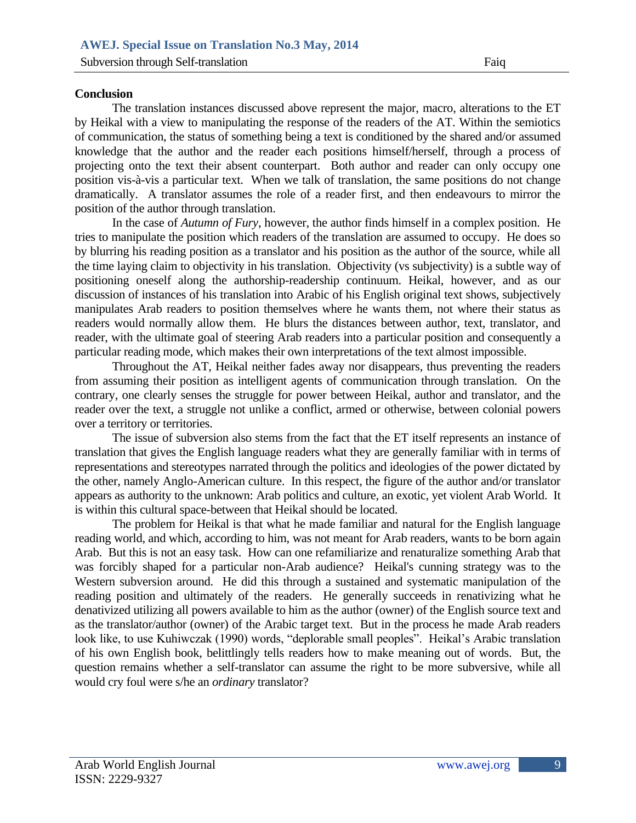# **Conclusion**

The translation instances discussed above represent the major, macro, alterations to the ET by Heikal with a view to manipulating the response of the readers of the AT. Within the semiotics of communication, the status of something being a text is conditioned by the shared and/or assumed knowledge that the author and the reader each positions himself/herself, through a process of projecting onto the text their absent counterpart. Both author and reader can only occupy one position vis-à-vis a particular text. When we talk of translation, the same positions do not change dramatically. A translator assumes the role of a reader first, and then endeavours to mirror the position of the author through translation.

In the case of *Autumn of Fury*, however, the author finds himself in a complex position. He tries to manipulate the position which readers of the translation are assumed to occupy. He does so by blurring his reading position as a translator and his position as the author of the source, while all the time laying claim to objectivity in his translation. Objectivity (vs subjectivity) is a subtle way of positioning oneself along the authorship-readership continuum. Heikal, however, and as our discussion of instances of his translation into Arabic of his English original text shows, subjectively manipulates Arab readers to position themselves where he wants them, not where their status as readers would normally allow them. He blurs the distances between author, text, translator, and reader, with the ultimate goal of steering Arab readers into a particular position and consequently a particular reading mode, which makes their own interpretations of the text almost impossible.

Throughout the AT, Heikal neither fades away nor disappears, thus preventing the readers from assuming their position as intelligent agents of communication through translation. On the contrary, one clearly senses the struggle for power between Heikal, author and translator, and the reader over the text, a struggle not unlike a conflict, armed or otherwise, between colonial powers over a territory or territories.

The issue of subversion also stems from the fact that the ET itself represents an instance of translation that gives the English language readers what they are generally familiar with in terms of representations and stereotypes narrated through the politics and ideologies of the power dictated by the other, namely Anglo-American culture. In this respect, the figure of the author and/or translator appears as authority to the unknown: Arab politics and culture, an exotic, yet violent Arab World. It is within this cultural space-between that Heikal should be located.

The problem for Heikal is that what he made familiar and natural for the English language reading world, and which, according to him, was not meant for Arab readers, wants to be born again Arab. But this is not an easy task. How can one refamiliarize and renaturalize something Arab that was forcibly shaped for a particular non-Arab audience? Heikal's cunning strategy was to the Western subversion around. He did this through a sustained and systematic manipulation of the reading position and ultimately of the readers. He generally succeeds in renativizing what he denativized utilizing all powers available to him as the author (owner) of the English source text and as the translator/author (owner) of the Arabic target text. But in the process he made Arab readers look like, to use Kuhiwczak (1990) words, "deplorable small peoples". Heikal's Arabic translation of his own English book, belittlingly tells readers how to make meaning out of words. But, the question remains whether a self-translator can assume the right to be more subversive, while all would cry foul were s/he an *ordinary* translator?